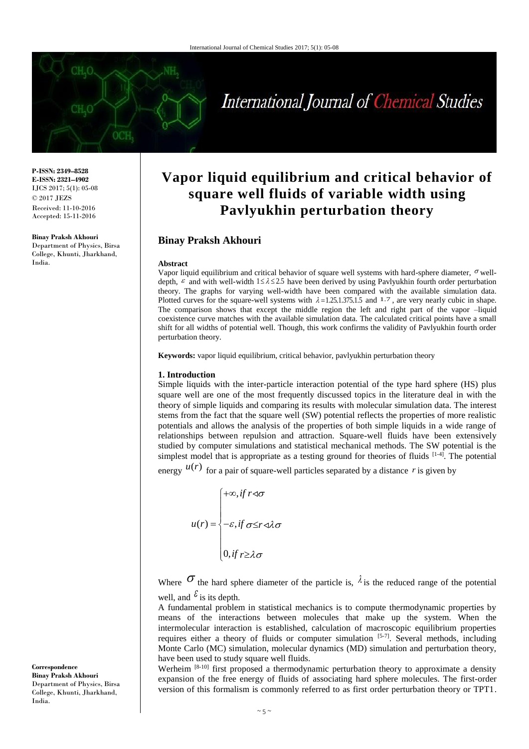

**P-ISSN: 2349–8528 E-ISSN: 2321–4902** IJCS 2017; 5(1): 05-08 © 2017 JEZS Received: 11-10-2016 Accepted: 15-11-2016

**Binay Praksh Akhouri** Department of Physics, Birsa College, Khunti, Jharkhand, India.

# **Vapor liquid equilibrium and critical behavior of square well fluids of variable width using Pavlyukhin perturbation theory**

## **Binay Praksh Akhouri**

#### **Abstract**

Vapor liquid equilibrium and critical behavior of square well systems with hard-sphere diameter,  $\sigma$  welldepth,  $\varepsilon$  and with well-width  $1 \le \lambda \le 2.5$  have been derived by using Pavlyukhin fourth order perturbation theory. The graphs for varying well-width have been compared with the available simulation data. Plotted curves for the square-well systems with  $\lambda = 1.25, 1.375, 1.5$  and 1.7, are very nearly cubic in shape. The comparison shows that except the middle region the left and right part of the vapor –liquid coexistence curve matches with the available simulation data. The calculated critical points have a small shift for all widths of potential well. Though, this work confirms the validity of Pavlyukhin fourth order perturbation theory.

**Keywords:** vapor liquid equilibrium, critical behavior, pavlyukhin perturbation theory

### **1. Introduction**

Simple liquids with the inter-particle interaction potential of the type hard sphere (HS) plus square well are one of the most frequently discussed topics in the literature deal in with the theory of simple liquids and comparing its results with molecular simulation data. The interest stems from the fact that the square well (SW) potential reflects the properties of more realistic potentials and allows the analysis of the properties of both simple liquids in a wide range of relationships between repulsion and attraction. Square-well fluids have been extensively studied by computer simulations and statistical mechanical methods. The SW potential is the simplest model that is appropriate as a testing ground for theories of fluids  $[1-4]$ . The potential

energy  $u(r)$  for a pair of square-well particles separated by a distance r is given by

$$
u(r) = \begin{cases} +\infty, & \text{if } r \leq \sigma \\ -\varepsilon, & \text{if } \sigma \leq r \leq \lambda \sigma \\ 0, & \text{if } r \geq \lambda \sigma \end{cases}
$$

Where  $\sigma$  the hard sphere diameter of the particle is,  $\lambda$  is the reduced range of the potential well, and  $\mathcal{E}_{\text{is its depth.}}$ 

A fundamental problem in statistical mechanics is to compute thermodynamic properties by means of the interactions between molecules that make up the system. When the intermolecular interaction is established, calculation of macroscopic equilibrium properties requires either a theory of fluids or computer simulation [5-7]. Several methods, including Monte Carlo (MC) simulation, molecular dynamics (MD) simulation and perturbation theory, have been used to study square well fluids.

Werheim <sup>[8-10]</sup> first proposed a thermodynamic perturbation theory to approximate a density expansion of the free energy of fluids of associating hard sphere molecules. The first-order version of this formalism is commonly referred to as first order perturbation theory or TPT1.

**Correspondence Binay Praksh Akhouri** Department of Physics, Birsa College, Khunti, Jharkhand, India.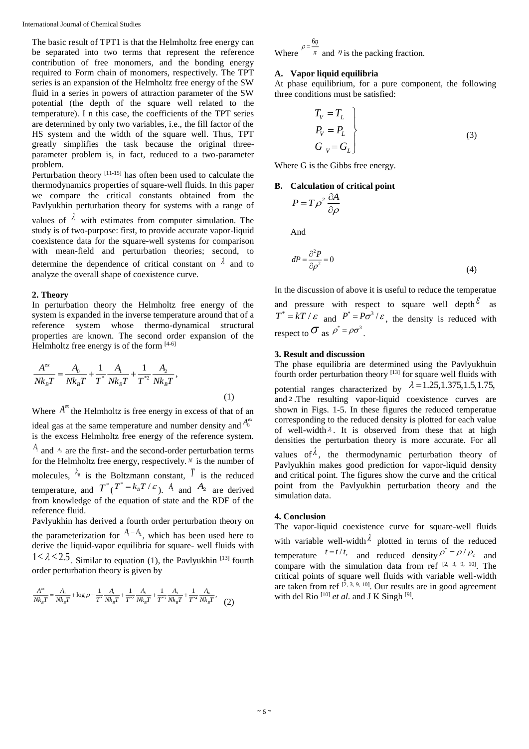The basic result of TPT1 is that the Helmholtz free energy can be separated into two terms that represent the reference contribution of free monomers, and the bonding energy required to Form chain of monomers, respectively. The TPT series is an expansion of the Helmholtz free energy of the SW fluid in a series in powers of attraction parameter of the SW potential (the depth of the square well related to the temperature). I n this case, the coefficients of the TPT series are determined by only two variables, i.e., the fill factor of the HS system and the width of the square well. Thus, TPT greatly simplifies the task because the original threeparameter problem is, in fact, reduced to a two-parameter problem.

Perturbation theory  $[11-15]$  has often been used to calculate the thermodynamics properties of square-well fluids. In this paper we compare the critical constants obtained from the Pavlyukhin perturbation theory for systems with a range of

values of  $\lambda$  with estimates from computer simulation. The study is of two-purpose: first, to provide accurate vapor-liquid coexistence data for the square-well systems for comparison with mean-field and perturbation theories; second, to determine the dependence of critical constant on  $\lambda$  and to analyze the overall shape of coexistence curve.

## **2. Theory**

In perturbation theory the Helmholtz free energy of the system is expanded in the inverse temperature around that of a reference system whose thermo-dynamical structural properties are known. The second order expansion of the Helmholtz free energy is of the form  $[4-6]$ 

$$
\frac{A^{ex}}{N k_B T} = \frac{A_0}{N k_B T} + \frac{1}{T^*} \frac{A_1}{N k_B T} + \frac{1}{T^{*2}} \frac{A_2}{N k_B T},
$$
\n(1)

Where  $A^{\ell\ell}$  the Helmholtz is free energy in excess of that of an ideal gas at the same temperature and number density and  $A_0^{\alpha\alpha}$ is the excess Helmholtz free energy of the reference system.  $A_1$  and  $A_2$  are the first- and the second-order perturbation terms for the Helmholtz free energy, respectively. *N* is the number of molecules,  $k_{\text{B}}$  is the Boltzmann constant,  $\overline{I}$  is the reduced temperature, and  $T^*$  ( $T^* = k_B T / \varepsilon$ ). A<sub>1</sub> and  $A_2$  are derived from knowledge of the equation of state and the RDF of the reference fluid.

Pavlyukhin has derived a fourth order perturbation theory on the parameterization for  $A_1 - A_4$ , which has been used here to derive the liquid-vapor equilibria for square- well fluids with  $1 \le \lambda \le 2.5$ . Similar to equation (1), the Pavlyukhin<sup>[13]</sup> fourth order perturbation theory is given by

$$
\frac{A^{ex}}{N k_B T} = \frac{A_0}{N k_B T} + \log \rho + \frac{1}{T^*} \frac{A_1}{N k_B T} + \frac{1}{T^{*2}} \frac{A_2}{N k_B T} + \frac{1}{T^{*3}} \frac{A_3}{N k_B T} + \frac{1}{T^{*4}} \frac{A_4}{N k_B T},
$$
 (2)

Where 
$$
\rho = \frac{6\eta}{\pi}
$$
 and  $\eta$  is the packing fraction.

## **A. Vapor liquid equilibria**

At phase equilibrium, for a pure component, the following three conditions must be satisfied:

$$
T_V = T_L
$$
  
\n
$$
P_V = P_L
$$
  
\n
$$
G_V = G_L
$$
 (3)

Where G is the Gibbs free energy.

### **B. Calculation of critical point**

$$
P = T\rho^2 \frac{\partial A}{\partial \rho}
$$

And

$$
dP = \frac{\partial^2 P}{\partial \rho^2} = 0
$$
\n(4)

In the discussion of above it is useful to reduce the temperatue and pressure with respect to square well depth  $\epsilon$  as  $T^* = kT / \varepsilon$  and  $P^* = P\sigma^3 / \varepsilon$ , the density is reduced with respect to  $\sigma$  as  $\rho^* = \rho \sigma^3$ .

## **3. Result and discussion**

The phase equilibria are determined using the Pavlyukhuin fourth order perturbation theory [13] for square well fluids with potential ranges characterized by  $\lambda = 1.25, 1.375, 1.5, 1.75,$ and 2 .The resulting vapor-liquid coexistence curves are shown in Figs. 1-5. In these figures the reduced temperatue corresponding to the reduced density is plotted for each value of well-width  $\lambda$ . It is observed from these that at high densities the perturbation theory is more accurate. For all values of  $\lambda$ , the thermodynamic perturbation theory of Pavlyukhin makes good prediction for vapor-liquid density and critical point. The figures show the curve and the critical point from the Pavlyukhin perturbation theory and the simulation data.

## **4. Conclusion**

The vapor-liquid coexistence curve for square-well fluids with variable well-width  $\lambda$  plotted in terms of the reduced temperature  $t = t/t_r$  and reduced density  $\rho^* = \rho / \rho_c$  and compare with the simulation data from ref  $[2, 3, 9, 10]$ . The critical points of square well fluids with variable well-width are taken from ref  $[2, 3, 9, 10]$ . Our results are in good agreement with del Rio<sup>[10]</sup> et al. and J K Singh<sup>[9]</sup>.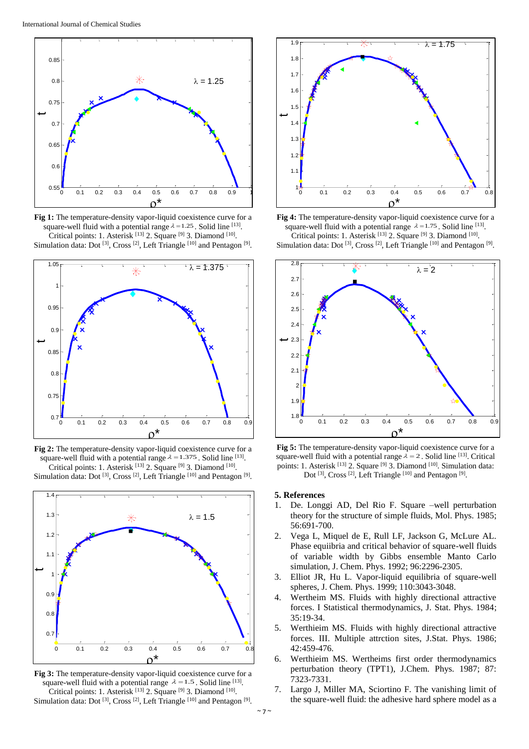

**Fig 1:** The temperature-density vapor-liquid coexistence curve for a square-well fluid with a potential range  $\lambda = 1.25$ . Solid line [13]. Critical points: 1. Asterisk [13] 2. Square [9] 3. Diamond [10]. Simulation data: Dot<sup>[3]</sup>, Cross<sup>[2]</sup>, Left Triangle<sup>[10]</sup> and Pentagon<sup>[9]</sup>.



**Fig 2:** The temperature-density vapor-liquid coexistence curve for a square-well fluid with a potential range  $\lambda = 1.375$ . Solid line [13]. Critical points: 1. Asterisk [13] 2. Square [9] 3. Diamond [10]. Simulation data: Dot<sup>[3]</sup>, Cross<sup>[2]</sup>, Left Triangle<sup>[10]</sup> and Pentagon<sup>[9]</sup>.



**Fig 3:** The temperature-density vapor-liquid coexistence curve for a square-well fluid with a potential range  $\lambda = 1.5$ . Solid line [13]. Critical points: 1. Asterisk [13] 2. Square [9] 3. Diamond [10]. Simulation data: Dot<sup>[3]</sup>, Cross<sup>[2]</sup>, Left Triangle<sup>[10]</sup> and Pentagon<sup>[9]</sup>.



**Fig 4:** The temperature-density vapor-liquid coexistence curve for a square-well fluid with a potential range  $\lambda = 1.75$ . Solid line [13]. Critical points: 1. Asterisk [13] 2. Square [9] 3. Diamond [10].

Simulation data: Dot<sup>[3]</sup>, Cross<sup>[2]</sup>, Left Triangle<sup>[10]</sup> and Pentagon<sup>[9]</sup>.



**Fig 5:** The temperature-density vapor-liquid coexistence curve for a square-well fluid with a potential range  $\lambda = 2$ . Solid line [13]. Critical points: 1. Asterisk <sup>[13]</sup> 2. Square <sup>[9]</sup> 3. Diamond <sup>[10]</sup>. Simulation data: Dot<sup>[3]</sup>, Cross<sup>[2]</sup>, Left Triangle<sup>[10]</sup> and Pentagon<sup>[9]</sup>.

#### **5. References**

- 1. De. Longgi AD, Del Rio F. Square –well perturbation theory for the structure of simple fluids, Mol. Phys. 1985; 56:691-700.
- 2. Vega L, Miquel de E, Rull LF, Jackson G, McLure AL. Phase equiibria and critical behavior of square-well fluids of variable width by Gibbs ensemble Manto Carlo simulation, J. Chem. Phys. 1992; 96:2296-2305.
- 3. Elliot JR, Hu L. Vapor-liquid equilibria of square-well spheres, J. Chem. Phys. 1999; 110:3043-3048.
- 4. Wertheim MS. Fluids with highly directional attractive forces. I Statistical thermodynamics, J. Stat. Phys. 1984; 35:19-34.
- 5. Werthieim MS. Fluids with highly directional attractive forces. III. Multiple attrction sites, J.Stat. Phys. 1986; 42:459-476.
- 6. Werthieim MS. Wertheims first order thermodynamics perturbation theory (TPT1), J.Chem. Phys. 1987; 87: 7323-7331.
- 7. Largo J, Miller MA, Sciortino F. The vanishing limit of the square-well fluid: the adhesive hard sphere model as a